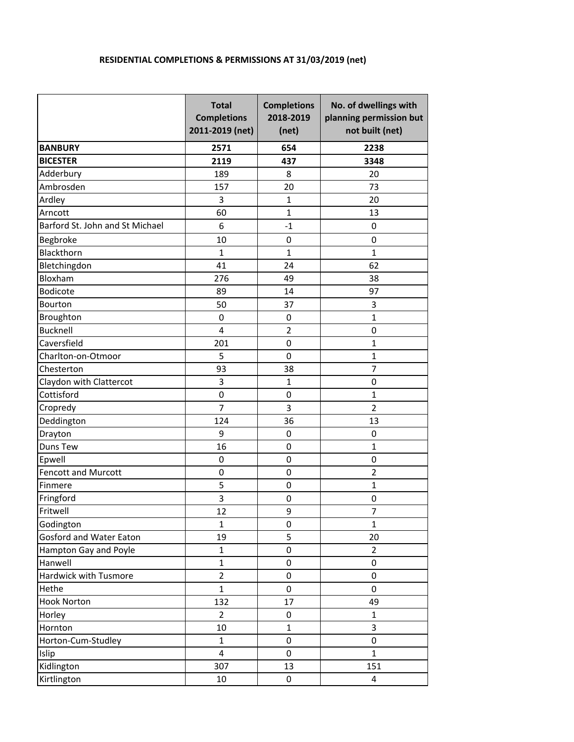## **RESIDENTIAL COMPLETIONS & PERMISSIONS AT 31/03/2019 (net)**

|                                 | <b>Total</b><br><b>Completions</b><br>2011-2019 (net) | <b>Completions</b><br>2018-2019<br>(net) | No. of dwellings with<br>planning permission but<br>not built (net) |
|---------------------------------|-------------------------------------------------------|------------------------------------------|---------------------------------------------------------------------|
| <b>BANBURY</b>                  | 2571                                                  | 654                                      | 2238                                                                |
| <b>BICESTER</b>                 | 2119                                                  | 437                                      | 3348                                                                |
| Adderbury                       | 189                                                   | 8                                        | 20                                                                  |
| Ambrosden                       | 157                                                   | 20                                       | 73                                                                  |
| Ardley                          | 3                                                     | $\mathbf{1}$                             | 20                                                                  |
| Arncott                         | 60                                                    | 1                                        | 13                                                                  |
| Barford St. John and St Michael | 6                                                     | $-1$                                     | 0                                                                   |
| Begbroke                        | 10                                                    | 0                                        | 0                                                                   |
| Blackthorn                      | $\mathbf{1}$                                          | $\mathbf{1}$                             | $\mathbf{1}$                                                        |
| Bletchingdon                    | 41                                                    | 24                                       | 62                                                                  |
| Bloxham                         | 276                                                   | 49                                       | 38                                                                  |
| <b>Bodicote</b>                 | 89                                                    | 14                                       | 97                                                                  |
| Bourton                         | 50                                                    | 37                                       | 3                                                                   |
| Broughton                       | $\boldsymbol{0}$                                      | 0                                        | $\mathbf{1}$                                                        |
| <b>Bucknell</b>                 | $\overline{\mathbf{4}}$                               | $\overline{2}$                           | $\mathbf 0$                                                         |
| Caversfield                     | 201                                                   | $\pmb{0}$                                | $\mathbf 1$                                                         |
| Charlton-on-Otmoor              | 5                                                     | 0                                        | 1                                                                   |
| Chesterton                      | 93                                                    | 38                                       | $\overline{7}$                                                      |
| Claydon with Clattercot         | 3                                                     | $\mathbf 1$                              | 0                                                                   |
| Cottisford                      | $\mathbf 0$                                           | $\pmb{0}$                                | $\mathbf 1$                                                         |
| Cropredy                        | $\overline{7}$                                        | 3                                        | $\overline{2}$                                                      |
| Deddington                      | 124                                                   | 36                                       | 13                                                                  |
| Drayton                         | 9                                                     | 0                                        | $\boldsymbol{0}$                                                    |
| Duns Tew                        | 16                                                    | 0                                        | $\mathbf{1}$                                                        |
| Epwell                          | $\boldsymbol{0}$                                      | 0                                        | $\boldsymbol{0}$                                                    |
| <b>Fencott and Murcott</b>      | 0                                                     | 0                                        | $\overline{2}$                                                      |
| Finmere                         | 5                                                     | 0                                        | $\mathbf{1}$                                                        |
| Fringford                       | 3                                                     | 0                                        | $\pmb{0}$                                                           |
| Fritwell                        | 12                                                    | 9                                        | $\overline{7}$                                                      |
| Godington                       | $\mathbf{1}$                                          | 0                                        | $\mathbf{1}$                                                        |
| Gosford and Water Eaton         | 19                                                    | 5                                        | 20                                                                  |
| Hampton Gay and Poyle           | $\mathbf{1}$                                          | 0                                        | $\overline{2}$                                                      |
| Hanwell                         | $\mathbf{1}$                                          | $\pmb{0}$                                | 0                                                                   |
| Hardwick with Tusmore           | $\overline{2}$                                        | $\pmb{0}$                                | 0                                                                   |
| Hethe                           | $\mathbf{1}$                                          | 0                                        | 0                                                                   |
| <b>Hook Norton</b>              | 132                                                   | 17                                       | 49                                                                  |
| Horley                          | $\overline{2}$                                        | 0                                        | $\mathbf{1}$                                                        |
| Hornton                         | 10                                                    | $\mathbf{1}$                             | 3                                                                   |
| Horton-Cum-Studley              | $\mathbf{1}$                                          | 0                                        | 0                                                                   |
| Islip                           | $\overline{\mathbf{4}}$                               | $\mathbf 0$                              | $\mathbf{1}$                                                        |
| Kidlington                      | 307                                                   | 13                                       | 151                                                                 |
| Kirtlington                     | 10                                                    | 0                                        | 4                                                                   |